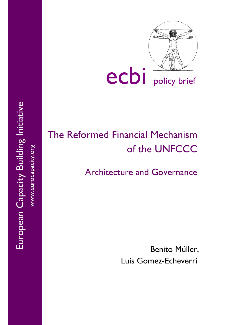

ecbi policy brief

# The Reformed Financial Mechanism of the UNFCCC

Architecture and Governance

Benito Müller, Luis Gomez-Echeverri

European Capacity Building Initiative European Capacity Building Initiative www.eurocapacity.org www.eurocapacity.org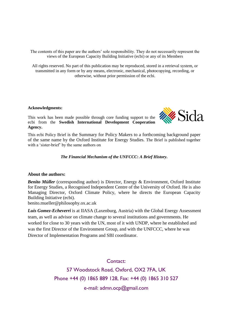The contents of this paper are the authors' sole responsibility. They do not necessarily represent the views of the European Capacity Building Initiative (ecbi) or any of its Members

All rights reserved. No part of this publication may be reproduced, stored in a retrieval system, or transmitted in any form or by any means, electronic, mechanical, photocopying, recording, or otherwise, without prior permission of the ecbi.

## **Acknowledgments:**

This work has been made possible through core funding support to the ecbi from the **Swedish International Development Cooperation Agency.**



This ecbi Policy Brief is the Summary for Policy Makers to a forthcoming background paper of the same name by the Oxford Institute for Energy Studies. The Brief is published together with a 'sister-brief' by the same authors on

*The Financial Mechanism of the UNFCCC***:** *A Brief History.*

## **About the authors:**

*Benito Müller* (corresponding author) is Director, Energy & Environment, Oxford Institute for Energy Studies, a Recognised Independent Centre of the University of Oxford. He is also Managing Director, Oxford Climate Policy, where he directs the European Capacity Building Initiative (ecbi).

benito.mueller@philosophy.ox.ac.uk

*Luis Gomez-Echeverri* is at IIASA (Laxenburg, Austria) with the Global Energy Assessment team, as well as advisor on climate change to several institutions and governments. He worked for close to 30 years with the UN, most of it with UNDP, where he established and was the first Director of the Environment Group, and with the UNFCCC, where he was Director of Implementation Programs and SBI coordinator.

> Contact: 57 Woodstock Road, Oxford, OX2 7FA, UK Phone +44 (0) 1865 889 128, Fax: +44 (0) 1865 310 527 e-mail: admn.ocp@gmail.com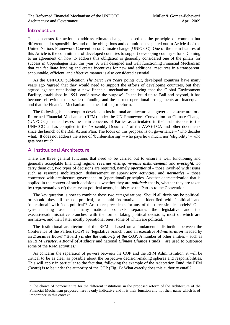# **Introduction**

The consensus for action to address climate change is based on the principle of common but differentiated responsibilities and on the obligations and commitments spelled out in Article 4 of the United Nations Framework Convention on Climate change (UNFCCC). One of the main features of this Article is the commitment of developed countries to support developing country efforts. Coming to an agreement on how to address this obligation is generally considered one of the pillars for success in Copenhagen later this year. A well designed and well functioning Financial Mechanism that can facilitate funding and create incentives for new and additional resources in a transparent, accountable, efficient, and effective manner is also considered essential.

As the UNFCCC publication *The First Ten Years* points out, developed countries have many years ago 'agreed that they would need to support the efforts of developing countries, but they argued against establishing a new financial mechanism believing that the Global Environment Facility, established in 1991, could serve the purpose'. In the build-up to Bali and beyond, it has become self-evident that scale of funding and the current operational arrangements are inadequate and that the Financial Mechanism is in need of major reform.

The following is an attempt to develop an institutional architecture and governance structure for a Reformed Financial Mechanism (RFM) under the UN Framework Convention on Climate Change (UNFCCC) that addresses the main concerns of Parties as articulated in their submissions to the UNFCCC and as compiled in the 'Assembly Document' of the AWG-LCA and other documents since the launch of the Bali Action Plan. The focus on this proposal is on governance – 'who decides what.' It does not address the issue of 'burden-sharing' – who pays how much, nor 'eligibility' – who gets how much.

# A. Institutional Architecture

 $\overline{a}$ 

There are three general functions that need to be carried out to ensure a well functioning and generally acceptable financing regime: *revenue raising, revenue disbursement,* and *oversight.* To carry them out, two types of decisions are required, namely *operational* – those involved with issues such as resource mobilization, disbursement or supervisory activities, and *normative* – those concerned with architecture governance, or (operational) principles. Another characterization that is applied in the context of such decisions is whether they are *political*: that is, whether they are taken by (representatives of) the relevant political actors, in this case the Parties to the Convention.

The key question is how to combine these two categorizations. Should all decisions be political, or should they all be non-political, or should 'normative' be identified with 'political' and 'operational' with 'non-political'? Are there precedents for any of the three simple models? One system being used in many national contexts separates the legislative and the executive/administrative branches, with the former taking political decisions, most of which are normative, and their latter mostly operational ones, some of which are political.

The institutional architecture of the RFM is based on a fundamental distinction between the Conference of the Parties (COP) as 'legislative branch', and an executive *Administration* headed by an *Executive Board* ('Board') *under the authority of the COP*. A number of other entities – such as an RFM *Trustee,* a *Board of Auditors* and national *Climate Change Funds* − are used to outsource some of the RFM activities.

As concerns the separation of powers between the COP and the RFM Administration, it will be critical to be as clear as possible about the respective decision-making spheres and responsibilities. This will apply in particular to the fact that, following the example of the Adaptation Fund, the RFM (Board) is to be under the authority of the COP (Fig. 1): What exactly does this authority entail?

<sup>&</sup>lt;sup>1</sup> The choice of nomenclature for the different institutions in the proposed reform of the architecture of the Financial Mechanism proposed here is only indicative and it is their function and not their name which is of importance in this context.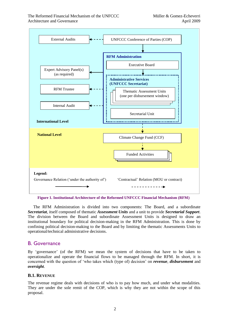

**Figure 1. Institutional Architecture of the Reformed UNFCCC Financial Mechanism (RFM)**

The RFM Administration is divided into two components: The Board, and a subordinate *Secretariat*, itself composed of thematic *Assessment Units* and a unit to provide *Secretarial Support*. The division between the Board and subordinate Assessment Units is designed to draw an institutional boundary for political decision-making in the RFM Administration. This is done by confining political decision-making to the Board and by limiting the thematic Assessments Units to operational/technical administrative decisions.

# B. Governance

By 'governance' (of the RFM) we mean the system of decisions that have to be taken to operationalize and operate the financial flows to be managed through the RFM. In short, it is concerned with the question of 'who takes which (type of) decision' on *revenue*, *disbursement* and *oversight*.

## **B.1. REVENUE**

The revenue regime deals with decisions of who is to pay how much, and under what modalities. They are under the sole remit of the COP, which is why they are not within the scope of this proposal.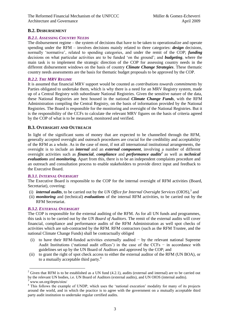## **B.2. DISBURSEMENT**

## *B.2.1. ASSESSING COUNTRY NEEDS*

The disbursement regime – the system of decisions that have to be taken to operationalize and operate spending under the RFM – involves decisions mainly related to three categories: *design* decisions, normally 'normative', related to spending categories, and under the remit of the COP; *funding* decisions on what particular activities are to be funded 'on the ground'; and *budgeting*, where the main task is to implement the strategic direction of the COP for assessing country needs in the different disbursement windows on the basis of country *Climate Change Strategies*. These thematic country needs assessments are the basis for thematic budget proposals to be approved by the COP.

## *B.2.2. THE MRV REGIME*

It is assumed that financial MRV support would be counted as *contributions towards commitments* by Parties obligated to undertake them, which is why there is a need for an MRV Registry system, made up of a Central Registry with subordinate National Registries. Given the sensitive nature of the data, these National Registries are best housed in the national *Climate Change Funds*, with the RFM Administration compiling the Central Registry, on the basis of information provided by the National Registries. The Board is responsible for the monitoring and oversight of the National Registries. But it is the responsibility of the CCFs to calculate the relevant MRV figures on the basis of criteria agreed by the COP of what is to be measured, monitored and verified.

## **B.3. OVERSIGHT AND OUTREACH**

In light of the significant sums of money that are expected to be channelled through the RFM, generally accepted oversight and outreach procedures are crucial for the credibility and acceptability of the RFM as a whole. As in the case of most, if not all international institutional arrangements, the oversight is to include an *internal* and an *external component*, involving a number of different oversight activities such as *financial, compliance* and *performance audits<sup>2</sup>* as well as *technical evaluations* and *monitoring*. Apart from this, there is to be an independent complaints procedure and an outreach and consultation process to enable stakeholders to provide direct input and feedback to the Executive Board.

## *B.3.1. INTERNAL OVERSIGHT*

The Executive Board is responsible to the COP for the internal oversight of RFM activities (Board, Secretariat), covering:

- (i) *internal audits*, to be carried out by the *UN Office for Internal Oversight Services* (OIOS),<sup>3</sup> and
- (ii) *monitoring* and (technical) *evaluations* of the internal RFM activities, to be carried out by the RFM Secretariat.

## *B.3.2. EXTERNAL OVERSIGHT*

 $\overline{a}$ 

The COP is responsible for the external auditing of the RFM. As for all UN funds and programmes, this task is to be carried out by the *UN Board of Auditors*. The remit of the external audits will cover financial, compliance and performance audits of the RFM Administration as well spot checks of activities which are sub-contracted by the RFM. RFM contractors (such as the RFM Trustee, and the national Climate Change Funds) shall be contractually obliged

- (i) to have their RFM-funded activities externally audited − by the relevant national Supreme Audit Institutions ('national audit offices') in the case of the CCFs  $-$  in accordance with guidelines set up by the UN Board of Auditors and approved by the COP; and
- (ii) to grant the right of spot check access to either the external auditor of the RFM (UN BOA), or to a mutually acceptable third party. 4

 $2$  Given that RFM is to be established as a UN fund (4.2.1), audits (external and internal) are to be carried out by the relevant UN bodies, i.e. UN Board of Auditors (external audits), and UN OIOS (internal audits). <sup>3</sup> www.un.org/depts/oios/

<sup>&</sup>lt;sup>4</sup> This follows the example of UNDP, which uses the 'national execution' modality for many of its projects around the world, and in which the practice is to agree with the government on a mutually acceptable third party audit institution to undertake regular certified audits.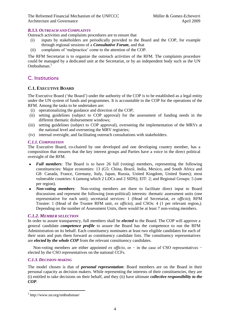## *B.3.3. OUTREACH AND COMPLAINTS*

Outreach activities and complaints procedures are to ensure that

- (i) inputs by stakeholders are periodically provided to the Board and the COP, for example through regional sessions of a *Consultative Forum*, and that
- (ii) complaints of 'malpractice' come to the attention of the COP.

The RFM Secretariat is to organize the outreach activities of the RFM. The complaints procedure could be managed by a dedicated unit at the Secretariat, or by an independent body such as the UN Ombudsman.<sup>5</sup>

# C. Institutions

## **C.1. EXECUTIVE BOARD**

The Executive Board ('the Board') under the authority of the COP is to be established as a legal entity under the UN system of funds and programmes. It is accountable to the COP for the operations of the RFM. Among the tasks to be undertaken are:

- (i) operationalizing the guidance and direction of the COP;
- (ii) setting guidelines (subject to COP approval) for the assessment of funding needs in the different thematic disbursement windows;
- (iii) setting guidelines (subject to COP approval), overseeing the implementation of the MRVs at the national level and overseeing the MRV registries;
- (iv) internal oversight, and facilitating outreach consultations with stakeholders.

## *C.1.1. COMPOSITION*

The Executive Board, co-chaired by one developed and one developing country member, has a composition that ensures that the key interest groups and Parties have a voice in the direct political oversight of the RFM.

- *Full members:* The Board is to have 26 full (voting) members, representing the following  $\bullet$ constituencies: Major economies: 13 (G5: China, Brazil, India, Mexico, and South Africa and G8: Canada, France, Germany, Italy, Japan, Russia, United Kingdom, United States); most vulnerable countries: 6 (among which 2 LDCs and 2 SIDS); EIT: 2; and Regional Groups: 5 (one per region).
- *Non-voting members:* Non-voting members are there to facilitate direct input to Board  $\bullet$ discussions and represent the following (non-political) interests: thematic assessment units (one representative for each unit); secretarial services: 1 (Head of Secretariat, *ex officio*); RFM Trustee: 1 (Head of the Trustee RFM unit, *ex officio*); and CSOs: 4 (1 per relevant region,). Depending on the number of Assessment Units, there would be at least 7 non-voting members.

## *C.1.2. MEMBER SELECTION*

In order to assure transparency, full members shall be *elected* to the Board. The COP will approve a general candidate *competence profile* to assure the Board has the competence to run the RFM Administration on its behalf. Each constituency nominates at least two eligible candidates for each of their seats and puts them forward as constituency candidate lists. The constituency representatives are *elected by the whole COP* from the relevant constituency candidates.

Non-voting members are either appointed *ex officio*, or − in the case of CSO representatives − elected by the CSO representatives on the national CCFs.

## *C.1.3. DECISION-MAKING*

The model chosen is that of *personal representation*: Board members are on the Board in their personal capacity as decision makers. While representing the interests of their constituencies, they are (i) entitled to take decisions on their behalf, and they (ii) have ultimate *collective responsibility to the COP*.

 $\overline{a}$ 

<sup>5</sup> http://www.un.org/ombudsman/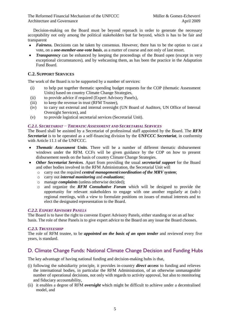Decision-making on the Board must be beyond reproach in order to generate the necessary acceptability not only among the political stakeholders but far beyond, which is has to be fair and transparent

- *Fairness.* Decisions can be taken by consensus. However, there has to be the option to cast a  $\bullet$ vote, on a *one-member-one-vote basis*, as a matter of course and not only of last resort.
- *Transparency* can be enhanced by keeping the proceedings of the Board open (except in very  $\bullet$ exceptional circumstances), and by webcasting them, as has been the practice in the Adaptation Fund Board.

# **C.2. SUPPORT SERVICES**

The work of the Board is to be supported by a number of services:

- (i) to help put together thematic spending budget requests for the COP (thematic Assessment Units) based on country Climate Change Strategies,
- (ii) to provide advice if required (Expert Advisory Panels),
- (iii) to keep the revenue in trust (RFM Trustee),
- (iv) to carry out external and internal oversight (UN Board of Auditors, UN Office of Internal Oversight Services), and
- (v) to provide logistical secretarial services (Secretarial Unit).

## *C.2.1. SECRETARIAT* − *THEMATIC ASSESSMENT AND SECRETARIAL SERVICES*

The Board shall be assisted by a Secretariat of professional staff appointed by the Board. The *RFM Secretariat* is to be operated as a self-financing division by the *UNFCCC Secretariat*, in conformity with Article 11.1 of the UNFCCC.

- *Thematic Assessment Units.* There will be a number of different thematic disbursement  $\bullet$ windows under the RFM. CCFs will be given guidance by the COP on how to present disbursement needs on the basis of country Climate Change Strategies.
- *Other Secretariat Services.* Apart from providing the usual *secretarial support* for the Board  $\bullet$ and other bodies involved in the RFM Administration, the Secretarial Unit will
	- o carry out the required *central management/coordination of the MRV system*;
	- o carry out *internal monitoring* and *evaluations*;
	- o manage *complaints* (unless otherwise decided);
	- o and organize the *RFM Consultative Forum* which will be designed to provide the opportunity for relevant stakeholders to engage with one another regularly at (sub-) regional meetings, with a view to formulate positions on issues of mutual interests and to elect the designated representation to the Board.

## *C.2.2. EXPERT ADVISORY PANELS*

The Board is to have the right to convene Expert Advisory Panels, either standing or on an ad hoc basis. The role of these Panels is to give expert advice to the Board on any issue the Board chooses.

## *C.2.3. TRUSTEESHIP*

The role of RFM trustee, to be *appointed on the basis of an open tender* and reviewed every five years, is standard.

# D. Climate Change Funds: National Climate Change Decision and Funding Hubs

The key advantage of having national funding and decision-making hubs is that,

- (i) following the subsidiarity principle, it provides in-country *direct access* to funding and relieves the international bodies, in particular the RFM Administration, of an otherwise unmanageable number of operational decisions, not only with regards to activity approval, but also to monitoring and fiduciary accountability,
- (ii) it enables a degree of RFM *oversight* which might be difficult to achieve under a decentralised model, and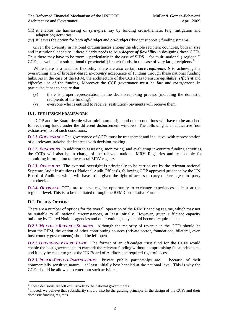- (iii) it enables the harnessing of *synergies*, say by funding cross-thematic (e.g. mitigation and adaptation) activities,
- (iv) it leaves the option for both *off-budget* and *on-budget* ('budget support') funding streams.

Given the diversity in national circumstances among the eligible recipient countries, both in size and institutional capacity − there clearly needs to be a *degree of flexibility* in designing these CCFs. Thus there may have to be room – particularly in the case of  $SIDS -$  for multi-national ('regional') CCFs, as well as for sub-national ('provincial') branch-funds, in the case of very large recipients.<sup>6</sup>

While there is a need for flexibility, there are also certain *core requirements* to achieving the overarching aim of broadest-based *in-country* acceptance of funding through these national funding hubs. As in the case of the RFM, the architecture of the CCFs has to ensure *equitable*, *efficient* and *effective* use of the funding. Moreover the CCF governance must be *fair* and *transparen*t. In particular, it has to ensure that

- (v) there is proper representation in the decision-making process (including the domestic recipients of the funding), $\frac{7}{2}$
- (vi) everyone who is entitled to receive (restitution) payments will receive them.

#### **D.1. THE DESIGN FRAMEWORK**

The COP and the Board decide what minimum design and other conditions will have to be attached for receiving funds under the different disbursement windows. The following is an indicative (not exhaustive) list of such conditions:

*D.1.1. GOVERNANCE* The governance of CCFs must be transparent and inclusive, with representation of all relevant stakeholder interests with decision-making.

*D.1.2. FUNCTIONS* In addition to assessing, monitoring, and evaluating in-country funding activities, the CCFs will also be in charge of the relevant national MRV Registries and responsible for submitting information to the central MRV registry.

*D.1.3. OVERSIGHT* The external oversight is principally to be carried out by the relevant national Supreme Audit Institutions ('National Audit Offices'), following COP approved guidance by the UN Board of Auditors, which will have to be given the right of access to carry out/arrange third party spot checks.

*D.1.4. OUTREACH* CCFs are to have regular opportunity to exchange experiences at least at the regional level. This is to be facilitated through the RFM Consultative Forum.

#### **D.2. DESIGN OPTIONS**

 $\overline{a}$ 

There are a number of options for the overall operation of the RFM financing regime, which may not be suitable to all national circumstances, at least initially. However, given sufficient capacity building by United Nations agencies and other entities, they should become requirements.

*D.2.1. MULTIPLE REVENUE SOURCES* Although the majority of revenue in the CCFs should be from the RFM, the option of other contributing sources (private sector, foundations, bilateral, even host country governments) should be left open.

*D.2.2. OFF-BUDGET TRUST FUND* The format of an off-budget trust fund for the CCFs would enable the host governments to earmark the relevant funding without compromising fiscal principles, and it may be easier to grant the UN Board of Auditors the required right of access.

*D.2.3. PUBLIC-PRIVATE PARTNERSHIPS* Private public partnerships are − because of their commercially sensitive nature − at least initially best handled at the national level. This is why the CCFs should be allowed to enter into such activities.

<sup>6</sup> These decisions are left exclusively to the national governments.

<sup>&</sup>lt;sup>7</sup> Indeed, we believe that subsidiarity should also be the guiding principle in the design of the CCFs and their domestic funding regimes.